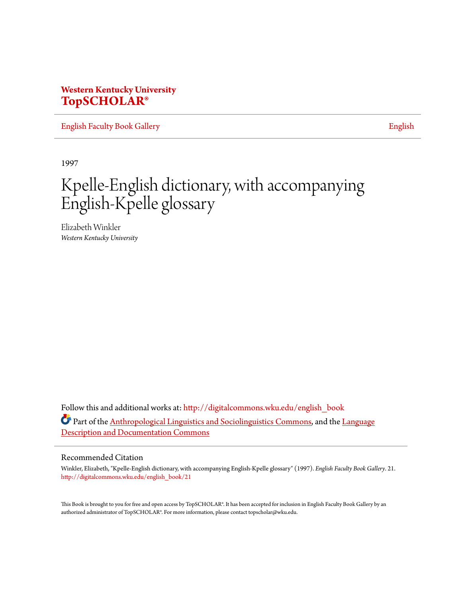## **Western Kentucky University [TopSCHOLAR®](http://digitalcommons.wku.edu?utm_source=digitalcommons.wku.edu%2Fenglish_book%2F21&utm_medium=PDF&utm_campaign=PDFCoverPages)**

[English Faculty Book Gallery](http://digitalcommons.wku.edu/english_book?utm_source=digitalcommons.wku.edu%2Fenglish_book%2F21&utm_medium=PDF&utm_campaign=PDFCoverPages) **[English](http://digitalcommons.wku.edu/English?utm_source=digitalcommons.wku.edu%2Fenglish_book%2F21&utm_medium=PDF&utm_campaign=PDFCoverPages)** 

1997

# Kpelle-English dictionary, with accompanying English-Kpelle glossary

Elizabeth Winkler *Western Kentucky University*

Follow this and additional works at: [http://digitalcommons.wku.edu/english\\_book](http://digitalcommons.wku.edu/english_book?utm_source=digitalcommons.wku.edu%2Fenglish_book%2F21&utm_medium=PDF&utm_campaign=PDFCoverPages) Part of the **Anthropological Linguistics and Sociolinguistics Commons**, and the [Language](http://network.bepress.com/hgg/discipline/379?utm_source=digitalcommons.wku.edu%2Fenglish_book%2F21&utm_medium=PDF&utm_campaign=PDFCoverPages) [Description and Documentation Commons](http://network.bepress.com/hgg/discipline/379?utm_source=digitalcommons.wku.edu%2Fenglish_book%2F21&utm_medium=PDF&utm_campaign=PDFCoverPages)

#### Recommended Citation

Winkler, Elizabeth, "Kpelle-English dictionary, with accompanying English-Kpelle glossary" (1997). *English Faculty Book Gallery*. 21. [http://digitalcommons.wku.edu/english\\_book/21](http://digitalcommons.wku.edu/english_book/21?utm_source=digitalcommons.wku.edu%2Fenglish_book%2F21&utm_medium=PDF&utm_campaign=PDFCoverPages)

This Book is brought to you for free and open access by TopSCHOLAR®. It has been accepted for inclusion in English Faculty Book Gallery by an authorized administrator of TopSCHOLAR®. For more information, please contact topscholar@wku.edu.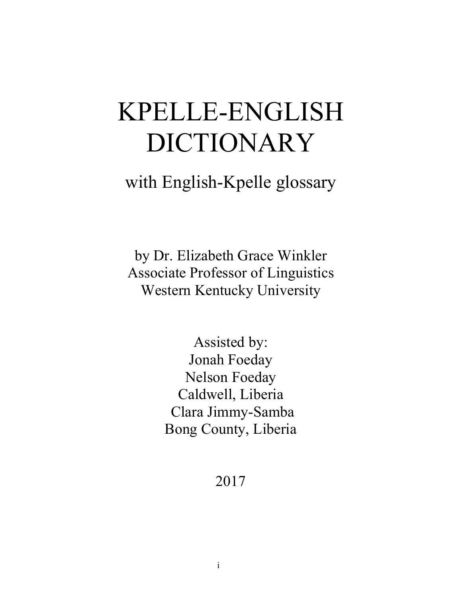# KPELLE-ENGLISH DICTIONARY

## with English-Kpelle glossary

by Dr. Elizabeth Grace Winkler Associate Professor of Linguistics Western Kentucky University

> Assisted by: Jonah Foeday Nelson Foeday Caldwell, Liberia Clara Jimmy-Samba Bong County, Liberia

> > 2017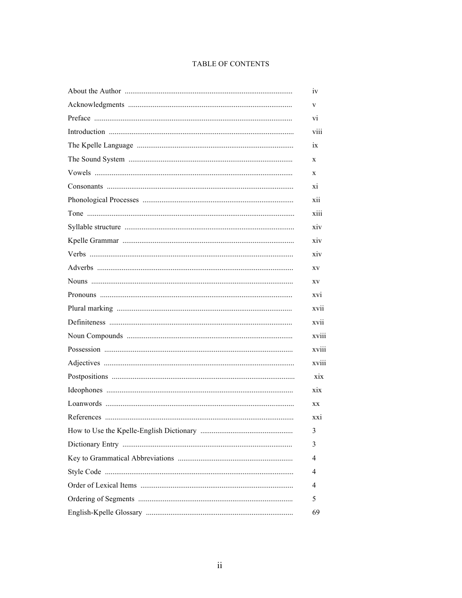### TABLE OF CONTENTS

| 1V    |
|-------|
| V     |
| Vİ.   |
| viii  |
| ix    |
| X     |
| X     |
| XI.   |
| xii   |
| xiii  |
| xiv   |
| xiv   |
| xiv   |
| XV    |
| XV    |
| XVI   |
| xvii  |
| XV11  |
| xviii |
| xviii |
| xviii |
| xix   |
| xix   |
| XX    |
| XX1   |
| 3     |
| 3     |
| 4     |
| 4     |
| 4     |
| 5     |
| 69    |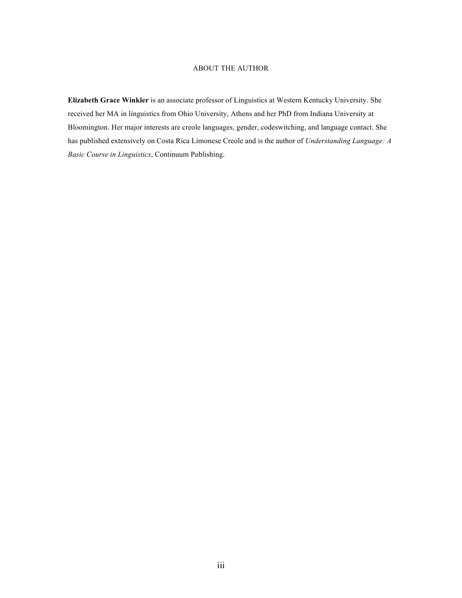#### ABOUT THE AUTHOR

**Elizabeth Grace Winkler** is an associate professor of Linguistics at Western Kentucky University. She received her MA in linguistics from Ohio University, Athens and her PhD from Indiana University at Bloomington. Her major interests are creole languages, gender, codeswitching, and language contact. She has published extensively on Costa Rica Limonese Creole and is the author of *Understanding Language: A Basic Course in Linguistics*, Continuum Publishing.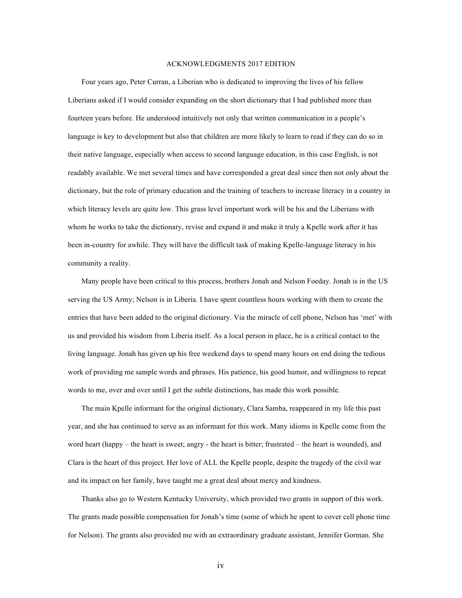#### ACKNOWLEDGMENTS 2017 EDITION

Four years ago, Peter Curran, a Liberian who is dedicated to improving the lives of his fellow Liberians asked if I would consider expanding on the short dictionary that I had published more than fourteen years before. He understood intuitively not only that written communication in a people's language is key to development but also that children are more likely to learn to read if they can do so in their native language, especially when access to second language education, in this case English, is not readably available. We met several times and have corresponded a great deal since then not only about the dictionary, but the role of primary education and the training of teachers to increase literacy in a country in which literacy levels are quite low. This grass level important work will be his and the Liberians with whom he works to take the dictionary, revise and expand it and make it truly a Kpelle work after it has been in-country for awhile. They will have the difficult task of making Kpelle-language literacy in his community a reality.

Many people have been critical to this process, brothers Jonah and Nelson Foeday. Jonah is in the US serving the US Army; Nelson is in Liberia. I have spent countless hours working with them to create the entries that have been added to the original dictionary. Via the miracle of cell phone, Nelson has 'met' with us and provided his wisdom from Liberia itself. As a local person in place, he is a critical contact to the living language. Jonah has given up his free weekend days to spend many hours on end doing the tedious work of providing me sample words and phrases. His patience, his good humor, and willingness to repeat words to me, over and over until I get the subtle distinctions, has made this work possible.

The main Kpelle informant for the original dictionary, Clara Samba, reappeared in my life this past year, and she has continued to serve as an informant for this work. Many idioms in Kpelle come from the word heart (happy – the heart is sweet; angry - the heart is bitter; frustrated – the heart is wounded), and Clara is the heart of this project. Her love of ALL the Kpelle people, despite the tragedy of the civil war and its impact on her family, have taught me a great deal about mercy and kindness.

Thanks also go to Western Kentucky University, which provided two grants in support of this work. The grants made possible compensation for Jonah's time (some of which he spent to cover cell phone time for Nelson). The grants also provided me with an extraordinary graduate assistant, Jennifer Gorman. She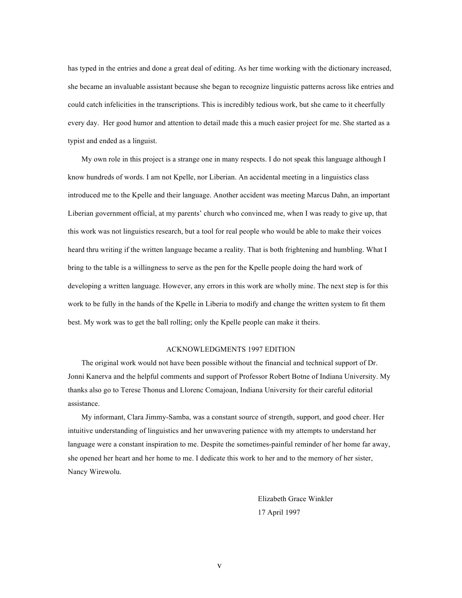has typed in the entries and done a great deal of editing. As her time working with the dictionary increased, she became an invaluable assistant because she began to recognize linguistic patterns across like entries and could catch infelicities in the transcriptions. This is incredibly tedious work, but she came to it cheerfully every day. Her good humor and attention to detail made this a much easier project for me. She started as a typist and ended as a linguist.

My own role in this project is a strange one in many respects. I do not speak this language although I know hundreds of words. I am not Kpelle, nor Liberian. An accidental meeting in a linguistics class introduced me to the Kpelle and their language. Another accident was meeting Marcus Dahn, an important Liberian government official, at my parents' church who convinced me, when I was ready to give up, that this work was not linguistics research, but a tool for real people who would be able to make their voices heard thru writing if the written language became a reality. That is both frightening and humbling. What I bring to the table is a willingness to serve as the pen for the Kpelle people doing the hard work of developing a written language. However, any errors in this work are wholly mine. The next step is for this work to be fully in the hands of the Kpelle in Liberia to modify and change the written system to fit them best. My work was to get the ball rolling; only the Kpelle people can make it theirs.

#### ACKNOWLEDGMENTS 1997 EDITION

The original work would not have been possible without the financial and technical support of Dr. Jonni Kanerva and the helpful comments and support of Professor Robert Botne of Indiana University. My thanks also go to Terese Thonus and Llorenc Comajoan, Indiana University for their careful editorial assistance.

My informant, Clara Jimmy-Samba, was a constant source of strength, support, and good cheer. Her intuitive understanding of linguistics and her unwavering patience with my attempts to understand her language were a constant inspiration to me. Despite the sometimes-painful reminder of her home far away, she opened her heart and her home to me. I dedicate this work to her and to the memory of her sister, Nancy Wirewolu.

> Elizabeth Grace Winkler 17 April 1997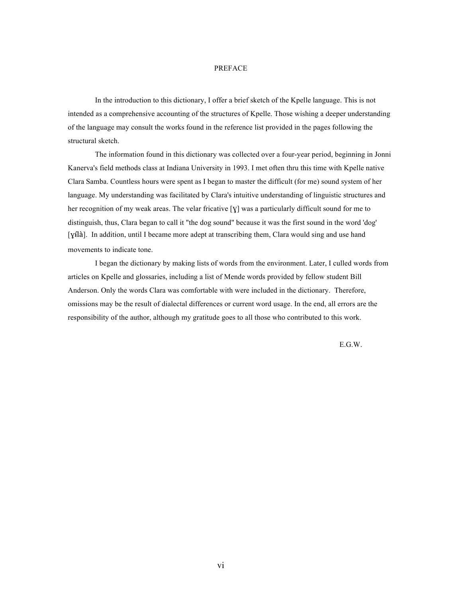#### PREFACE

In the introduction to this dictionary, I offer a brief sketch of the Kpelle language. This is not intended as a comprehensive accounting of the structures of Kpelle. Those wishing a deeper understanding of the language may consult the works found in the reference list provided in the pages following the structural sketch.

The information found in this dictionary was collected over a four-year period, beginning in Jonni Kanerva's field methods class at Indiana University in 1993. I met often thru this time with Kpelle native Clara Samba. Countless hours were spent as I began to master the difficult (for me) sound system of her language. My understanding was facilitated by Clara's intuitive understanding of linguistic structures and her recognition of my weak areas. The velar fricative [ɣ] was a particularly difficult sound for me to distinguish, thus, Clara began to call it "the dog sound" because it was the first sound in the word 'dog' [yilà]. In addition, until I became more adept at transcribing them, Clara would sing and use hand movements to indicate tone.

I began the dictionary by making lists of words from the environment. Later, I culled words from articles on Kpelle and glossaries, including a list of Mende words provided by fellow student Bill Anderson. Only the words Clara was comfortable with were included in the dictionary. Therefore, omissions may be the result of dialectal differences or current word usage. In the end, all errors are the responsibility of the author, although my gratitude goes to all those who contributed to this work.

E.G.W.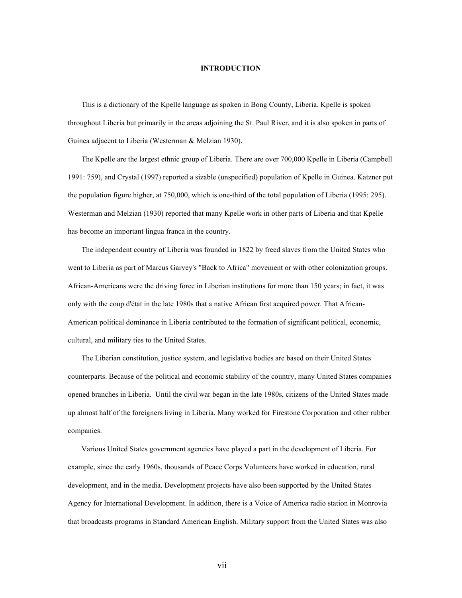#### **INTRODUCTION**

This is a dictionary of the Kpelle language as spoken in Bong County, Liberia. Kpelle is spoken throughout Liberia but primarily in the areas adjoining the St. Paul River, and it is also spoken in parts of Guinea adjacent to Liberia (Westerman & Melzian 1930).

The Kpelle are the largest ethnic group of Liberia. There are over 700,000 Kpelle in Liberia (Campbell 1991: 759), and Crystal (1997) reported a sizable (unspecified) population of Kpelle in Guinea. Katzner put the population figure higher, at 750,000, which is one-third of the total population of Liberia (1995: 295). Westerman and Melzian (1930) reported that many Kpelle work in other parts of Liberia and that Kpelle has become an important lingua franca in the country.

The independent country of Liberia was founded in 1822 by freed slaves from the United States who went to Liberia as part of Marcus Garvey's "Back to Africa" movement or with other colonization groups. African-Americans were the driving force in Liberian institutions for more than 150 years; in fact, it was only with the coup d'état in the late 1980s that a native African first acquired power. That African-American political dominance in Liberia contributed to the formation of significant political, economic, cultural, and military ties to the United States.

The Liberian constitution, justice system, and legislative bodies are based on their United States counterparts. Because of the political and economic stability of the country, many United States companies opened branches in Liberia. Until the civil war began in the late 1980s, citizens of the United States made up almost half of the foreigners living in Liberia. Many worked for Firestone Corporation and other rubber companies.

Various United States government agencies have played a part in the development of Liberia. For example, since the early 1960s, thousands of Peace Corps Volunteers have worked in education, rural development, and in the media. Development projects have also been supported by the United States Agency for International Development. In addition, there is a Voice of America radio station in Monrovia that broadcasts programs in Standard American English. Military support from the United States was also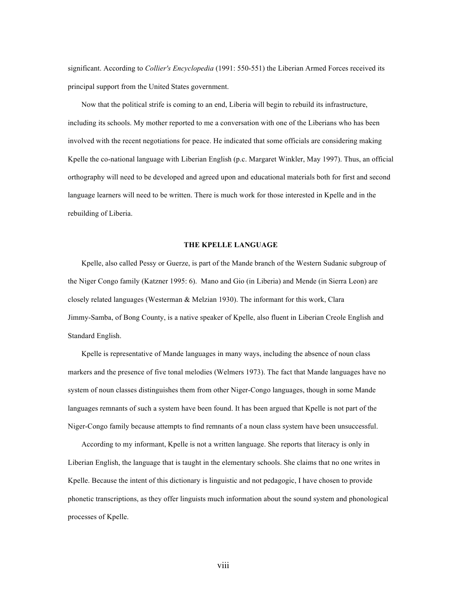significant. According to *Collier's Encyclopedia* (1991: 550-551) the Liberian Armed Forces received its principal support from the United States government.

Now that the political strife is coming to an end, Liberia will begin to rebuild its infrastructure, including its schools. My mother reported to me a conversation with one of the Liberians who has been involved with the recent negotiations for peace. He indicated that some officials are considering making Kpelle the co-national language with Liberian English (p.c. Margaret Winkler, May 1997). Thus, an official orthography will need to be developed and agreed upon and educational materials both for first and second language learners will need to be written. There is much work for those interested in Kpelle and in the rebuilding of Liberia.

#### **THE KPELLE LANGUAGE**

Kpelle, also called Pessy or Guerze, is part of the Mande branch of the Western Sudanic subgroup of the Niger Congo family (Katzner 1995: 6). Mano and Gio (in Liberia) and Mende (in Sierra Leon) are closely related languages (Westerman & Melzian 1930). The informant for this work, Clara Jimmy-Samba, of Bong County, is a native speaker of Kpelle, also fluent in Liberian Creole English and Standard English.

Kpelle is representative of Mande languages in many ways, including the absence of noun class markers and the presence of five tonal melodies (Welmers 1973). The fact that Mande languages have no system of noun classes distinguishes them from other Niger-Congo languages, though in some Mande languages remnants of such a system have been found. It has been argued that Kpelle is not part of the Niger-Congo family because attempts to find remnants of a noun class system have been unsuccessful.

According to my informant, Kpelle is not a written language. She reports that literacy is only in Liberian English, the language that is taught in the elementary schools. She claims that no one writes in Kpelle. Because the intent of this dictionary is linguistic and not pedagogic, I have chosen to provide phonetic transcriptions, as they offer linguists much information about the sound system and phonological processes of Kpelle.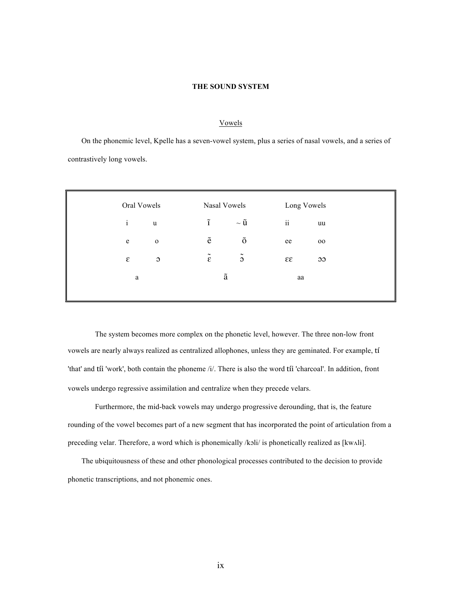#### **THE SOUND SYSTEM**

#### Vowels

On the phonemic level, Kpelle has a seven-vowel system, plus a series of nasal vowels, and a series of contrastively long vowels.

| Oral Vowels  |                | Nasal Vowels       |                    | Long Vowels |        |
|--------------|----------------|--------------------|--------------------|-------------|--------|
| $\mathbf{i}$ | u              | $\tilde{1}$        | $\sim \tilde{u}$   | ii          | uu     |
| e            | $\mathbf 0$    | $\tilde{\text{e}}$ | $\tilde{\text{o}}$ | ee          | $00\,$ |
| ε            | $\mathfrak{S}$ | $\tilde{\epsilon}$ | $\tilde{\circ}$    | 33          | 33     |
| a            |                | ã                  |                    | aa          |        |
|              |                |                    |                    |             |        |

The system becomes more complex on the phonetic level, however. The three non-low front vowels are nearly always realized as centralized allophones, unless they are geminated. For example, tí 'that' and tíi 'work', both contain the phoneme /i/. There is also the word tíi 'charcoal'. In addition, front vowels undergo regressive assimilation and centralize when they precede velars.

Furthermore, the mid-back vowels may undergo progressive derounding, that is, the feature rounding of the vowel becomes part of a new segment that has incorporated the point of articulation from a preceding velar. Therefore, a word which is phonemically /kɔli/ is phonetically realized as [kwʌlɨ].

The ubiquitousness of these and other phonological processes contributed to the decision to provide phonetic transcriptions, and not phonemic ones.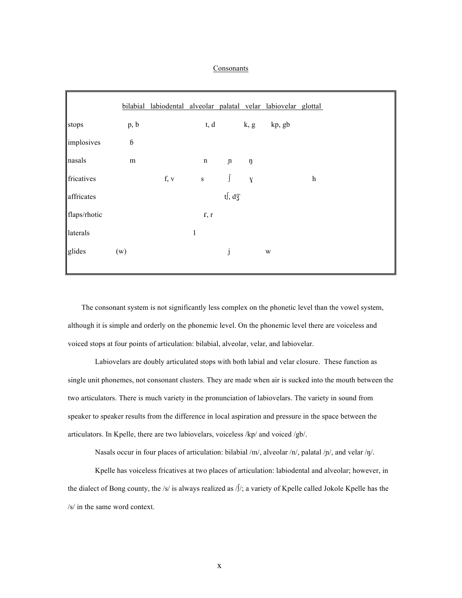#### Consonants

|              |                  | bilabial labiodental alveolar palatal velar labiovelar glottal |              |                        |              |        |                           |
|--------------|------------------|----------------------------------------------------------------|--------------|------------------------|--------------|--------|---------------------------|
| stops        | p, b             |                                                                | t, d         |                        | k, g         | kp, gb |                           |
| implosives   | $\boldsymbol{6}$ |                                                                |              |                        |              |        |                           |
| nasals       | m                |                                                                | n            | $\,$ $\,$ $\,$         | ŋ            |        |                           |
| fricatives   |                  | f, v                                                           | ${\bf S}$    | $\int$                 | $\mathbf{Y}$ |        | $\boldsymbol{\mathrm{h}}$ |
| affricates   |                  |                                                                |              | $t$ , d $\overline{3}$ |              |        |                           |
| flaps/rhotic |                  |                                                                | r, r         |                        |              |        |                           |
| laterals     |                  |                                                                | $\mathbf{l}$ |                        |              |        |                           |
| glides       | (w)              |                                                                |              | j                      |              | W      |                           |
|              |                  |                                                                |              |                        |              |        |                           |

The consonant system is not significantly less complex on the phonetic level than the vowel system, although it is simple and orderly on the phonemic level. On the phonemic level there are voiceless and voiced stops at four points of articulation: bilabial, alveolar, velar, and labiovelar.

Labiovelars are doubly articulated stops with both labial and velar closure. These function as single unit phonemes, not consonant clusters. They are made when air is sucked into the mouth between the two articulators. There is much variety in the pronunciation of labiovelars. The variety in sound from speaker to speaker results from the difference in local aspiration and pressure in the space between the articulators. In Kpelle, there are two labiovelars, voiceless /kp/ and voiced /gb/.

Nasals occur in four places of articulation: bilabial /m/, alveolar /n/, palatal /p/, and velar /ŋ/.

Kpelle has voiceless fricatives at two places of articulation: labiodental and alveolar; however, in the dialect of Bong county, the /s/ is always realized as /∫/; a variety of Kpelle called Jokole Kpelle has the /s/ in the same word context.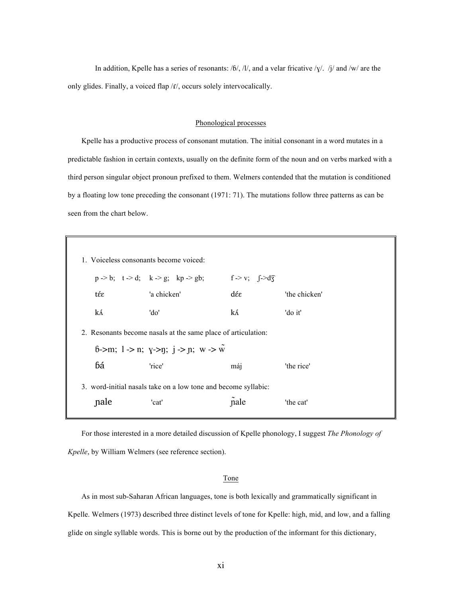In addition, Kpelle has a series of resonants: / $6/$ , /l/, and a velar fricative / $\chi$ /. / $\chi$ / and /w/ are the only glides. Finally, a voiced flap /f/, occurs solely intervocalically.

#### Phonological processes

Kpelle has a productive process of consonant mutation. The initial consonant in a word mutates in a predictable fashion in certain contexts, usually on the definite form of the noun and on verbs marked with a third person singular object pronoun prefixed to them. Welmers contended that the mutation is conditioned by a floating low tone preceding the consonant (1971: 71). The mutations follow three patterns as can be seen from the chart below.

| 1. Voiceless consonants become voiced:                         |                                                               |      |               |  |
|----------------------------------------------------------------|---------------------------------------------------------------|------|---------------|--|
|                                                                | $p > b$ ; $t > d$ ; $k > g$ ; $kp > gb$ ; $f > d\overline{3}$ |      |               |  |
| tέε                                                            | 'a chicken'                                                   | dέε  | 'the chicken' |  |
| ká                                                             | 'do'                                                          | ká   | 'do it'       |  |
|                                                                | 2. Resonants become nasals at the same place of articulation: |      |               |  |
|                                                                | 6->m; 1 -> n; y->n; j -> n; w -> $\tilde{w}$                  |      |               |  |
| бá                                                             | 'rice'                                                        | máj  | 'the rice'    |  |
| 3. word-initial nasals take on a low tone and become syllabic: |                                                               |      |               |  |
| nale                                                           | 'cat'                                                         | nale | 'the cat'     |  |
|                                                                |                                                               |      |               |  |

For those interested in a more detailed discussion of Kpelle phonology, I suggest *The Phonology of Kpelle*, by William Welmers (see reference section).

#### Tone

As in most sub-Saharan African languages, tone is both lexically and grammatically significant in Kpelle. Welmers (1973) described three distinct levels of tone for Kpelle: high, mid, and low, and a falling glide on single syllable words. This is borne out by the production of the informant for this dictionary,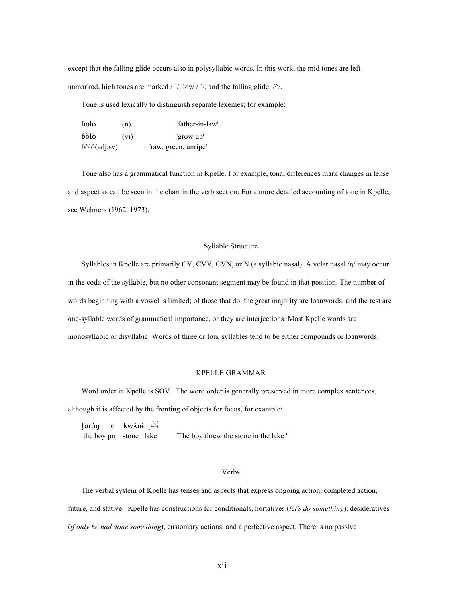except that the falling glide occurs also in polysyllabic words. In this work, the mid tones are left unmarked, high tones are marked  $/$   $'/$ , low  $/$   $'/$ , and the falling glide,  $/$  $/$ .

Tone is used lexically to distinguish separate lexemes; for example:

| bolo<br>(n)  |      | 'father-in-law'      |
|--------------|------|----------------------|
| bòlò         | (vi) | 'grow up'            |
| bòló(adj,sv) |      | 'raw, green, unripe' |

Tone also has a grammatical function in Kpelle. For example, tonal differences mark changes in tense and aspect as can be seen in the chart in the verb section. For a more detailed accounting of tone in Kpelle, see Welmers (1962, 1973).

#### Syllable Structure

Syllables in Kpelle are primarily CV, CVV, CVN, or N (a syllabic nasal). A velar nasal /ŋ/ may occur in the coda of the syllable, but no other consonant segment may be found in that position. The number of words beginning with a vowel is limited; of those that do, the great majority are loanwords, and the rest are one-syllable words of grammatical importance, or they are interjections. Most Kpelle words are monosyllabic or disyllabic. Words of three or four syllables tend to be either compounds or loanwords.

#### KPELLE GRAMMAR

Word order in Kpelle is SOV. The word order is generally preserved in more complex sentences, although it is affected by the fronting of objects for focus, for example:

|  | fùrón e kwáni pili    |                                       |
|--|-----------------------|---------------------------------------|
|  | the boy pn stone lake | The boy threw the stone in the lake." |

#### Verbs

The verbal system of Kpelle has tenses and aspects that express ongoing action, completed action, future, and stative. Kpelle has constructions for conditionals, hortatives (*let's do something*), desideratives (*if only he had done something*), customary actions, and a perfective aspect. There is no passive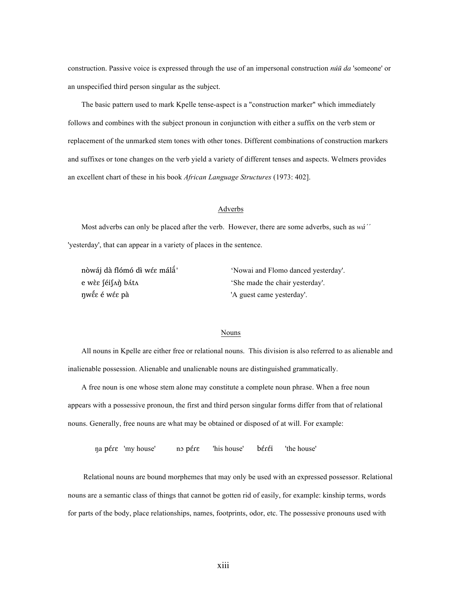construction. Passive voice is expressed through the use of an impersonal construction *núũ da* 'someone' or an unspecified third person singular as the subject.

The basic pattern used to mark Kpelle tense-aspect is a "construction marker" which immediately follows and combines with the subject pronoun in conjunction with either a suffix on the verb stem or replacement of the unmarked stem tones with other tones. Different combinations of construction markers and suffixes or tone changes on the verb yield a variety of different tenses and aspects. Welmers provides an excellent chart of these in his book *African Language Structures* (1973: 402].

#### Adverbs

Most adverbs can only be placed after the verb. However, there are some adverbs, such as *wá´´* 'yesterday', that can appear in a variety of places in the sentence.

nòwáj dà flómó dɨ̀wɛɛ́ málã́ 'e wèε [éi[Λή bλίλ] is 'She made the chair yesterday'. ŋwɛ̃ɛ́ é wɛɛ́ pà 'A guest came yesterday'.

'Nowai and Flomo danced yesterday'.

#### Nouns

All nouns in Kpelle are either free or relational nouns. This division is also referred to as alienable and inalienable possession. Alienable and unalienable nouns are distinguished grammatically.

A free noun is one whose stem alone may constitute a complete noun phrase. When a free noun appears with a possessive pronoun, the first and third person singular forms differ from that of relational nouns. Generally, free nouns are what may be obtained or disposed of at will. For example:

ŋa pɛ́ɾɛ 'my house' nɔ pɛ́ɾɛ 'his house' bɛ́ɾɛ́i 'the house'

Relational nouns are bound morphemes that may only be used with an expressed possessor. Relational nouns are a semantic class of things that cannot be gotten rid of easily, for example: kinship terms, words for parts of the body, place relationships, names, footprints, odor, etc. The possessive pronouns used with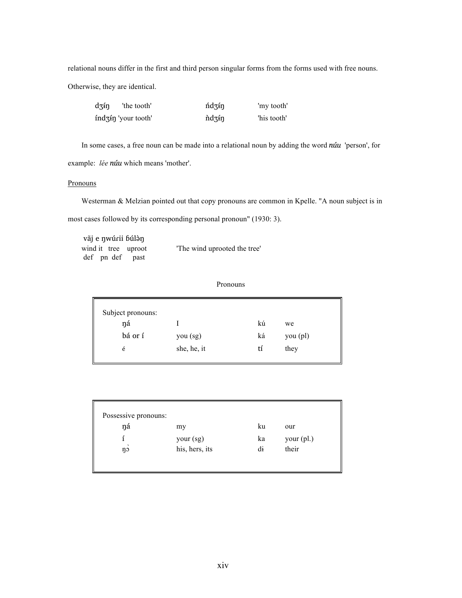relational nouns differ in the first and third person singular forms from the forms used with free nouns. Otherwise, they are identical.

| dzín | 'the tooth'             | ńdzín | 'my tooth'  |
|------|-------------------------|-------|-------------|
|      | $ind_3$ in 'your tooth' | ndzín | 'his tooth' |

In some cases, a free noun can be made into a relational noun by adding the word *núu* 'person', for example: *lée núu* which means 'mother'.

#### **Pronouns**

Westerman & Melzian pointed out that copy pronouns are common in Kpelle. "A noun subject is in most cases followed by its corresponding personal pronoun" (1930: 3).

vãj e ŋwúɾii ɓúlə̀ŋ wind it tree uproot The wind uprooted the tree' def pn def past

Pronouns

| Subject pronouns: |             |    |            |
|-------------------|-------------|----|------------|
| ŋá                |             | kú | we         |
| bá or í           | you (sg)    | ká | $you$ (pl) |
| é                 | she, he, it | tí | they       |
|                   |             |    |            |

| Possessive pronouns: |                |    |            |  |
|----------------------|----------------|----|------------|--|
| ŋá                   | my             | ku | our        |  |
|                      | your (sg)      | ka | your (pl.) |  |
| $\cdot$<br>ŋɔ        | his, hers, its | di | their      |  |
|                      |                |    |            |  |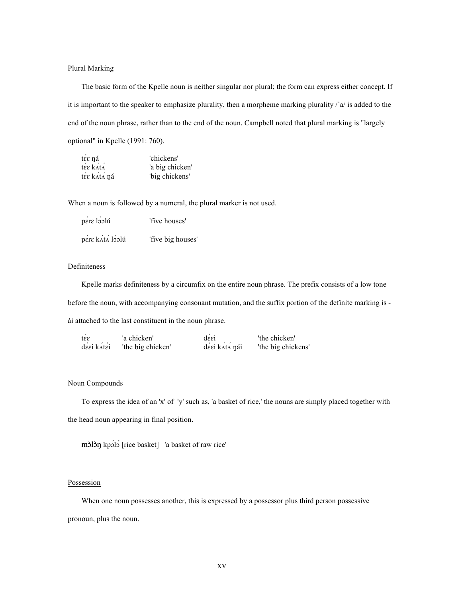#### Plural Marking

The basic form of the Kpelle noun is neither singular nor plural; the form can express either concept. If it is important to the speaker to emphasize plurality, then a morpheme marking plurality /˚a/ is added to the end of the noun phrase, rather than to the end of the noun. Campbell noted that plural marking is "largely optional" in Kpelle (1991: 760).

| tεε ηá      | 'chickens'      |
|-------------|-----------------|
| tée kátá    | 'a big chicken' |
| tée kátá ná | 'big chickens'  |

When a noun is followed by a numeral, the plural marker is not used.

| pere loolú      | 'five houses'     |
|-----------------|-------------------|
| pére kátá lóolú | 'five big houses' |

#### Definiteness

Kpelle marks definiteness by a circumfix on the entire noun phrase. The prefix consists of a low tone before the noun, with accompanying consonant mutation, and the suffix portion of the definite marking is ái attached to the last constituent in the noun phrase.

| tee        | 'a chicken'       | desi          | 'the chicken'      |
|------------|-------------------|---------------|--------------------|
| dέεi k∧tέi | 'the big chicken' | déei kátá nái | 'the big chickens' |

#### Noun Compounds

To express the idea of an 'x' of 'y' such as, 'a basket of rice,' the nouns are simply placed together with the head noun appearing in final position.

mɔ̀lɔ̀ŋ kpɔ́lɔ́ [rice basket] 'a basket of raw rice'

#### **Possession**

When one noun possesses another, this is expressed by a possessor plus third person possessive pronoun, plus the noun.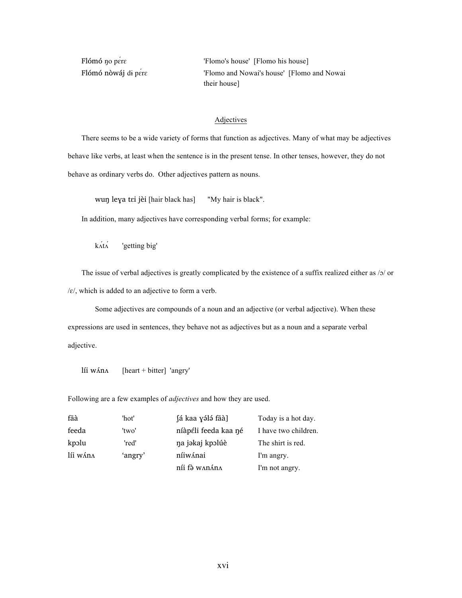Flómó no pére 'Flomo's house' [Flomo his house] Flómó nòwáj di pére 'Flomo and Nowai's house' [Flomo and Nowai their house]

#### Adjectives

There seems to be a wide variety of forms that function as adjectives. Many of what may be adjectives behave like verbs, at least when the sentence is in the present tense. In other tenses, however, they do not behave as ordinary verbs do. Other adjectives pattern as nouns.

wuŋ leɣa tɛi jèi [hair black has] "My hair is black".

In addition, many adjectives have corresponding verbal forms; for example:

 $k\acute{\alpha}$ t $\acute{\alpha}$  'getting big'

The issue of verbal adjectives is greatly complicated by the existence of a suffix realized either as /ɔ/ or  $/\varepsilon$ , which is added to an adjective to form a verb.

Some adjectives are compounds of a noun and an adjective (or verbal adjective). When these expressions are used in sentences, they behave not as adjectives but as a noun and a separate verbal adjective.

líi w $\Lambda$ n $\Lambda$  [heart + bitter] 'angry'

Following are a few examples of *adjectives* and how they are used.

| fãà      | 'hot'   | fá kaa yálá fãà]     | Today is a hot day.  |
|----------|---------|----------------------|----------------------|
| feeda    | 'two'   | níàpéli feeda kaa né | I have two children. |
| kpolu    | 'red'   | na jəkaj kpəlúè      | The shirt is red.    |
| líi wána | 'angry' | níiwánai             | I'm angry.           |
|          |         | níi fà wanána        | I'm not angry.       |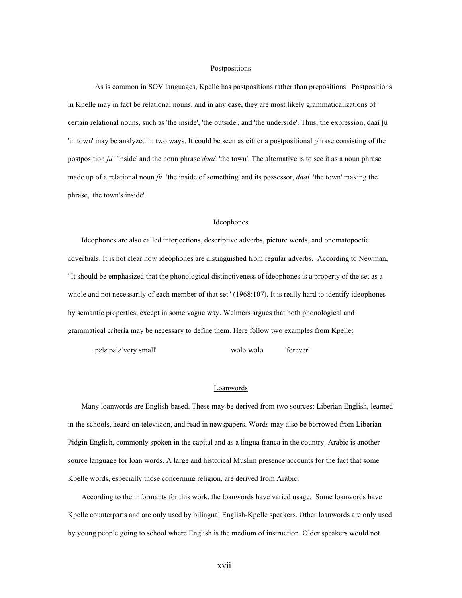#### Postpositions

As is common in SOV languages, Kpelle has postpositions rather than prepositions. Postpositions in Kpelle may in fact be relational nouns, and in any case, they are most likely grammaticalizations of certain relational nouns, such as 'the inside', 'the outside', and 'the underside'. Thus, the expression, daaí ʃú 'in town' may be analyzed in two ways. It could be seen as either a postpositional phrase consisting of the postposition *ʃú* 'inside' and the noun phrase *daaí* 'the town'. The alternative is to see it as a noun phrase made up of a relational noun *ʃú* 'the inside of something' and its possessor, *daaí* 'the town' making the phrase, 'the town's inside'.

#### Ideophones

Ideophones are also called interjections, descriptive adverbs, picture words, and onomatopoetic adverbials. It is not clear how ideophones are distinguished from regular adverbs. According to Newman, "It should be emphasized that the phonological distinctiveness of ideophones is a property of the set as a whole and not necessarily of each member of that set" (1968:107). It is really hard to identify ideophones by semantic properties, except in some vague way. Welmers argues that both phonological and grammatical criteria may be necessary to define them. Here follow two examples from Kpelle:

pɛlɛ pɛlɛ 'very small' wɔlɔ wɔlɔ 'forever'

#### Loanwords

Many loanwords are English-based. These may be derived from two sources: Liberian English, learned in the schools, heard on television, and read in newspapers. Words may also be borrowed from Liberian Pidgin English, commonly spoken in the capital and as a lingua franca in the country. Arabic is another source language for loan words. A large and historical Muslim presence accounts for the fact that some Kpelle words, especially those concerning religion, are derived from Arabic.

According to the informants for this work, the loanwords have varied usage. Some loanwords have Kpelle counterparts and are only used by bilingual English-Kpelle speakers. Other loanwords are only used by young people going to school where English is the medium of instruction. Older speakers would not